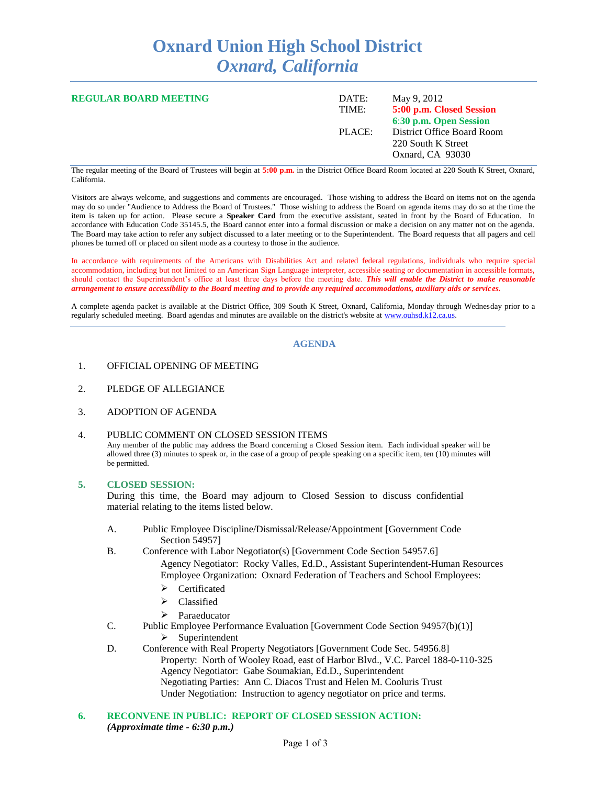# **Oxnard Union High School District** *Oxnard, California*

| <b>REGULAR BOARD MEETING</b> | DATE:<br>TIME: | May 9, 2012<br>5:00 p.m. Closed Session<br>6:30 p.m. Open Session    |
|------------------------------|----------------|----------------------------------------------------------------------|
|                              | PLACE:         | District Office Board Room<br>220 South K Street<br>Oxnard, CA 93030 |

The regular meeting of the Board of Trustees will begin at **5:00 p.m.** in the District Office Board Room located at 220 South K Street, Oxnard, California.

Visitors are always welcome, and suggestions and comments are encouraged. Those wishing to address the Board on items not on the agenda may do so under "Audience to Address the Board of Trustees." Those wishing to address the Board on agenda items may do so at the time the item is taken up for action. Please secure a **Speaker Card** from the executive assistant, seated in front by the Board of Education. In accordance with Education Code 35145.5, the Board cannot enter into a formal discussion or make a decision on any matter not on the agenda. The Board may take action to refer any subject discussed to a later meeting or to the Superintendent. The Board requests that all pagers and cell phones be turned off or placed on silent mode as a courtesy to those in the audience.

In accordance with requirements of the Americans with Disabilities Act and related federal regulations, individuals who require special accommodation, including but not limited to an American Sign Language interpreter, accessible seating or documentation in accessible formats, should contact the Superintendent's office at least three days before the meeting date. *This will enable the District to make reasonable arrangement to ensure accessibility to the Board meeting and to provide any required accommodations, auxiliary aids or services.*

A complete agenda packet is available at the District Office, 309 South K Street, Oxnard, California, Monday through Wednesday prior to a regularly scheduled meeting. Board agendas and minutes are available on the district's website at [www.ouhsd.k12.ca.us.](http://www.ouhsd.k12.ca.us/)

### **AGENDA**

- 1. OFFICIAL OPENING OF MEETING
- 2. PLEDGE OF ALLEGIANCE
- 3. ADOPTION OF AGENDA

#### 4. PUBLIC COMMENT ON CLOSED SESSION ITEMS

Any member of the public may address the Board concerning a Closed Session item. Each individual speaker will be allowed three (3) minutes to speak or, in the case of a group of people speaking on a specific item, ten (10) minutes will be permitted.

#### **5. CLOSED SESSION:**

During this time, the Board may adjourn to Closed Session to discuss confidential material relating to the items listed below.

- A. Public Employee Discipline/Dismissal/Release/Appointment [Government Code Section 54957]
- B. Conference with Labor Negotiator(s) [Government Code Section 54957.6] Agency Negotiator: Rocky Valles, Ed.D., Assistant Superintendent-Human Resources Employee Organization: Oxnard Federation of Teachers and School Employees:
	- Certificated
	- $\triangleright$  Classified
	- > Paraeducator
- C. Public Employee Performance Evaluation [Government Code Section 94957(b)(1)]  $\triangleright$  Superintendent
- D. Conference with Real Property Negotiators [Government Code Sec. 54956.8] Property: North of Wooley Road, east of Harbor Blvd., V.C. Parcel 188-0-110-325 Agency Negotiator: Gabe Soumakian, Ed.D., Superintendent Negotiating Parties: Ann C. Diacos Trust and Helen M. Cooluris Trust Under Negotiation: Instruction to agency negotiator on price and terms.
- **6. RECONVENE IN PUBLIC: REPORT OF CLOSED SESSION ACTION:** *(Approximate time - 6:30 p.m.)*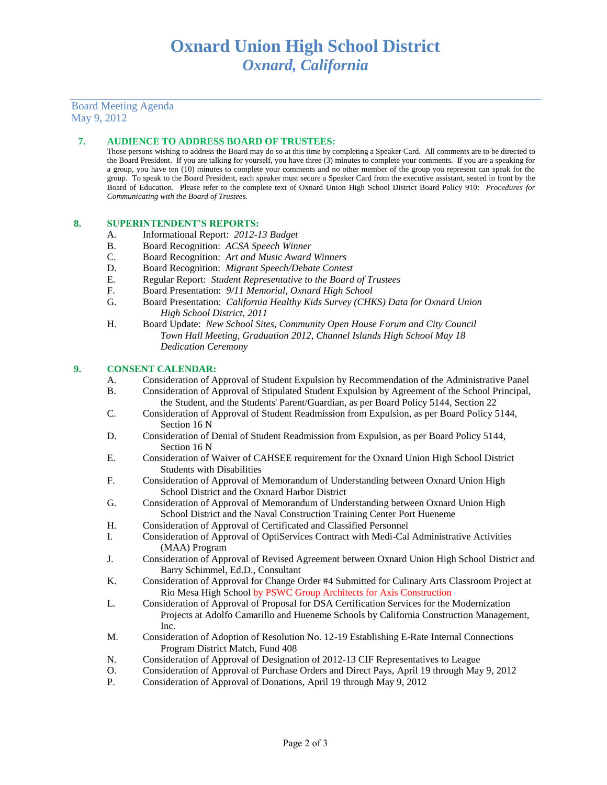## Board Meeting Agenda May 9, 2012

## **7. AUDIENCE TO ADDRESS BOARD OF TRUSTEES:**

Those persons wishing to address the Board may do so at this time by completing a Speaker Card. All comments are to be directed to the Board President. If you are talking for yourself, you have three (3) minutes to complete your comments. If you are a speaking for a group, you have ten (10) minutes to complete your comments and no other member of the group you represent can speak for the group. To speak to the Board President, each speaker must secure a Speaker Card from the executive assistant, seated in front by the Board of Education. Please refer to the complete text of Oxnard Union High School District Board Policy 910: *Procedures for Communicating with the Board of Trustees.*

### **8. SUPERINTENDENT'S REPORTS:**

- A. Informational Report: *2012-13 Budget*
- B. Board Recognition: *ACSA Speech Winner*
- C. Board Recognition: *Art and Music Award Winners*
- D. Board Recognition: *Migrant Speech/Debate Contest*
- E. Regular Report: *Student Representative to the Board of Trustees*
- F. Board Presentation: *9/11 Memorial, Oxnard High School*
- G. Board Presentation: *California Healthy Kids Survey (CHKS) Data for Oxnard Union High School District, 2011*
- H. Board Update: *New School Sites, Community Open House Forum and City Council Town Hall Meeting, Graduation 2012, Channel Islands High School May 18 Dedication Ceremony*

#### **9. CONSENT CALENDAR:**

- A. Consideration of Approval of Student Expulsion by Recommendation of the Administrative Panel
- B. Consideration of Approval of Stipulated Student Expulsion by Agreement of the School Principal, the Student, and the Students' Parent/Guardian, as per Board Policy 5144, Section 22
- C. Consideration of Approval of Student Readmission from Expulsion, as per Board Policy 5144, Section 16 N
- D. Consideration of Denial of Student Readmission from Expulsion, as per Board Policy 5144, Section 16 N
- E. Consideration of Waiver of CAHSEE requirement for the Oxnard Union High School District Students with Disabilities
- F. Consideration of Approval of Memorandum of Understanding between Oxnard Union High School District and the Oxnard Harbor District
- G. Consideration of Approval of Memorandum of Understanding between Oxnard Union High School District and the Naval Construction Training Center Port Hueneme
- H. Consideration of Approval of Certificated and Classified Personnel
- I. Consideration of Approval of OptiServices Contract with Medi-Cal Administrative Activities (MAA) Program
- J. Consideration of Approval of Revised Agreement between Oxnard Union High School District and Barry Schimmel, Ed.D., Consultant
- K. Consideration of Approval for Change Order #4 Submitted for Culinary Arts Classroom Project at Rio Mesa High School by PSWC Group Architects for Axis Construction
- L. Consideration of Approval of Proposal for DSA Certification Services for the Modernization Projects at Adolfo Camarillo and Hueneme Schools by California Construction Management, Inc.
- M. Consideration of Adoption of Resolution No. 12-19 Establishing E-Rate Internal Connections Program District Match, Fund 408
- N. Consideration of Approval of Designation of 2012-13 CIF Representatives to League
- O. Consideration of Approval of Purchase Orders and Direct Pays, April 19 through May 9, 2012
- P. Consideration of Approval of Donations, April 19 through May 9, 2012